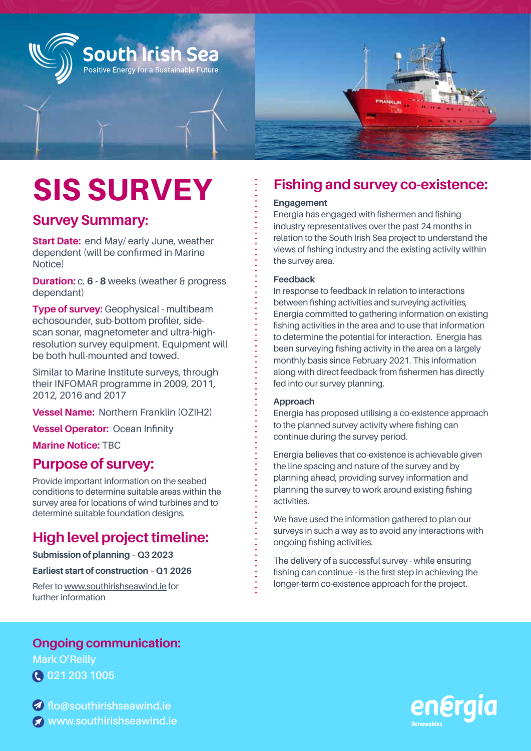

# SIS SURVEY

## **Survey Summary:**

**Start Date: early July, weather dependent** (will be confirmed in Marine Notice)

**Duration:** c. **6 - 8** weeks (weather & progress dependant)

**Type of survey:** Geophysical - multibeam echosounder, sub-bottom profiler, side-scan sonar, magnetometer and ultra-highresolution survey equipment. Equipment will be both hull-mounted and towed.

Similar to Marine Institute surveys, through their INFOMAR programme in 2009, 2011, 2012, 2016 and 2017

**Vessel Name: Northern 图 (OZc2)** 

**Vessel Operator:** Ocean Infinity

**Marine Notice:** TBC

## **Purpose of survey:**

Provide important information on the seabed conditions to determine suitable areas within the survey area for locations of wind turbines and to determine suitable foundation designs.

# **High level project timeline:**

**Submission of planning – Q3 2023** 

**Earliest start of construction – Q1 2026**

Refer to www.southirishseawind.ie for further information

# **Fishing and survey co-existence:**

### **Engagement**

Energia has engaged with fishermen and fishing industry representatives over the past 24 months in relation to the South Irish Sea project to understand the views of fishing industry and the existing activity within the survey area.

#### **Feedback**

In response to feedback in relation to interactions between fishing activities and surveying activities, Energia committed to gathering information on existing fishing activities in the area and to use that information to determine the potential for interaction. Energia has been surveying fishing activity in the area on a largely monthly basis since February 2021. This information along with direct feedback from fishermen has directly fed into our survey planning.

#### **Approach**

Energia has proposed utilising a co-existence approach to the planned survey activity where fishing can continue during the survey period.

Energia believes that co-existence is achievable given the line spacing and nature of the survey and by planning ahead, providing survey information and planning the survey to work around existing fishing activities.

We have used the information gathered to plan our surveys in such a way as to avoid any interactions with ongoing fishing activities.

The delivery of a successful survey - while ensuring fishing can continue - is the first step in achieving the longer-term co-existence approach for the project.

## **Ongoing communication:**

**Mark O'Reilly 021 203 1005**

**flo@southirishseawind.ie www.southirishseawind.ie**